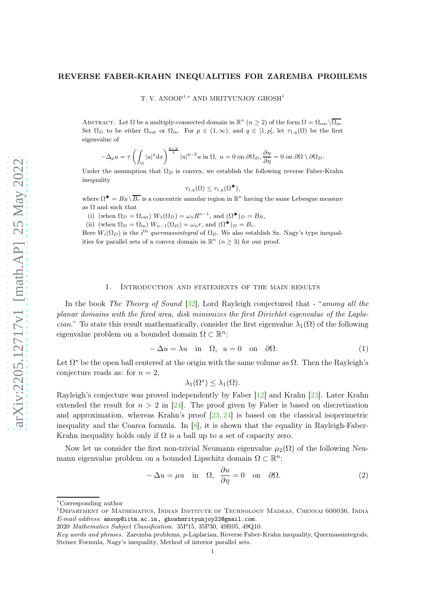### <span id="page-0-0"></span>REVERSE FABER-KRAHN INEQUALITIES FOR ZAREMBA PROBLEMS

T. V. ANOOP<sup>1,∗</sup> AND MRITYUNJOY GHOSH<sup>1</sup>

ABSTRACT. Let  $\Omega$  be a multiply-connected domain in  $\mathbb{R}^n$   $(n \geq 2)$  of the form  $\Omega = \Omega_{\text{out}}\setminus\overline{\Omega_{\text{in}}}.$ Set  $\Omega_D$  to be either  $\Omega_{\text{out}}$  or  $\Omega_{\text{in}}$ . For  $p \in (1,\infty)$ , and  $q \in [1,p]$ , let  $\tau_{1,q}(\Omega)$  be the first eigenvalue of

$$
-\Delta_p u=\tau\left(\int_\Omega |u|^q\mathrm{d} x\right)^{\frac{p-q}{q}}|u|^{q-2}u\hbox{ in }\Omega,\;u=0\hbox{ on }\partial\Omega_D,\frac{\partial u}{\partial\eta}=0\hbox{ on }\partial\Omega\setminus\partial\Omega_D.
$$

Under the assumption that  $\Omega_D$  is convex, we establish the following reverse Faber-Krahn inequality

$$
\tau_{1,q}(\Omega) \leq \tau_{1,q}(\Omega^{\star}),
$$

where  $\Omega^{\star} = B_R \backslash \overline{B_r}$  is a concentric annular region in  $\mathbb{R}^n$  having the same Lebesgue measure as  $\Omega$  and such that

(i) (when  $\Omega_D = \Omega_{\text{out}}$ )  $W_1(\Omega_D) = \omega_n R^{n-1}$ , and  $(\Omega^{\star})_D = B_R$ , (ii) (when  $\Omega_D = \Omega_{\text{in}}$ )  $W_{n-1}(\Omega_D) = \omega_n r$ , and  $(\Omega^{\star})_D = B_r$ .

Here  $W_i(\Omega_D)$  is the i<sup>th</sup> quermassintegral of  $\Omega_D$ . We also establish Sz. Nagy's type inequalities for parallel sets of a convex domain in  $\mathbb{R}^n$   $(n \geq 3)$  for our proof.

## 1. Introduction and statements of the main results

In the book *The Theory of Sound* [\[32\]](#page-16-0), Lord Rayleigh conjectured that - "*among all the planar domains with the fixed area, disk minimizes the first Dirichlet eigenvalue of the Laplacian*." To state this result mathematically, consider the first eigenvalue  $\lambda_1(\Omega)$  of the following eigenvalue problem on a bounded domain  $\Omega \subset \mathbb{R}^n$ :

$$
-\Delta u = \lambda u \quad \text{in} \quad \Omega, \ u = 0 \quad \text{on} \quad \partial \Omega. \tag{1}
$$

Let  $\Omega^*$  be the open ball centered at the origin with the same volume as  $\Omega$ . Then the Rayleigh's conjecture reads as: for  $n = 2$ ,

$$
\lambda_1(\Omega^*)\leq \lambda_1(\Omega).
$$

Rayleigh's conjecture was proved independently by Faber [\[12\]](#page-15-0) and Krahn [\[23\]](#page-15-1). Later Krahn extended the result for  $n > 2$  in [\[24\]](#page-15-2). The proof given by Faber is based on discretization and approximation, whereas Krahn's proof [\[23,](#page-15-1) [24\]](#page-15-2) is based on the classical isoperimetric inequality and the Coarea formula. In  $[8]$ , it is shown that the equality in Rayleigh-Faber-Krahn inequality holds only if  $\Omega$  is a ball up to a set of capacity zero.

Now let us consider the first non-trivial Neumann eigenvalue  $\mu_2(\Omega)$  of the following Neumann eigenvalue problem on a bounded Lipschitz domain  $\Omega \subset \mathbb{R}^n$ :

$$
-\Delta u = \mu u \quad \text{in} \quad \Omega, \quad \frac{\partial u}{\partial \eta} = 0 \quad \text{on} \quad \partial \Omega. \tag{2}
$$

<sup>∗</sup>Corresponding author

<sup>&</sup>lt;sup>1</sup>DEPARTMENT OF MATHEMATICS, INDIAN INSTITUTE OF TECHNOLOGY MADRAS, CHENNAI 600036, INDIA E-mail address: anoop@iitm.ac.in, ghoshmrityunjoy22@gmail.com.

<sup>2020</sup> Mathematics Subject Classification. 35P15, 35P30, 49R05, 49Q10.

Key words and phrases. Zaremba problems, p-Laplacian, Reverse Faber-Krahn inequality, Quermassintegrals, Steiner Formula, Nagy's inequality, Method of interior parallel sets.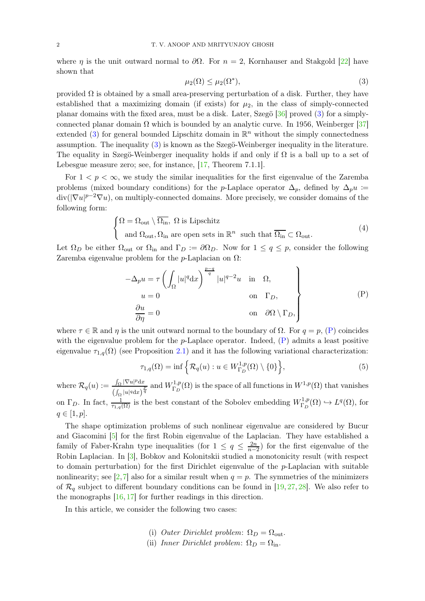<span id="page-1-4"></span>where  $\eta$  is the unit outward normal to  $\partial\Omega$ . For  $n = 2$ , Kornhauser and Stakgold [\[22\]](#page-15-4) have shown that

<span id="page-1-0"></span>
$$
\mu_2(\Omega) \le \mu_2(\Omega^*),\tag{3}
$$

provided  $\Omega$  is obtained by a small area-preserving perturbation of a disk. Further, they have established that a maximizing domain (if exists) for  $\mu_2$ , in the class of simply-connected planar domains with the fixed area, must be a disk. Later, Szegö [\[36\]](#page-16-1) proved [\(3\)](#page-1-0) for a simplyconnected planar domain  $\Omega$  which is bounded by an analytic curve. In 1956, Weinberger [\[37\]](#page-16-2) extended [\(3\)](#page-1-0) for general bounded Lipschitz domain in  $\mathbb{R}^n$  without the simply connectedness assumption. The inequality [\(3\)](#page-1-0) is known as the Szegö-Weinberger inequality in the literature. The equality in Szegö-Weinberger inequality holds if and only if  $\Omega$  is a ball up to a set of Lebesgue measure zero; see, for instance, [\[17,](#page-15-5) Theorem 7.1.1].

For  $1 < p < \infty$ , we study the similar inequalities for the first eigenvalue of the Zaremba problems (mixed boundary conditions) for the p-Laplace operator  $\Delta_p$ , defined by  $\Delta_p u$  :=  $div(|\nabla u|^{p-2}\nabla u)$ , on multiply-connected domains. More precisely, we consider domains of the following form:

<span id="page-1-2"></span>
$$
\begin{cases} \Omega = \Omega_{\text{out}} \setminus \overline{\Omega_{\text{in}}}, \ \Omega \text{ is Lipschitz} \\ \text{and } \Omega_{\text{out}}, \Omega_{\text{in}} \text{ are open sets in } \mathbb{R}^n \ \text{ such that } \overline{\Omega_{\text{in}}} \subset \Omega_{\text{out}}. \end{cases} \tag{4}
$$

Let  $\Omega_D$  be either  $\Omega_{\text{out}}$  or  $\Omega_{\text{in}}$  and  $\Gamma_D := \partial \Omega_D$ . Now for  $1 \le q \le p$ , consider the following Zaremba eigenvalue problem for the *p*-Laplacian on  $\Omega$ :

$$
-\Delta_p u = \tau \left( \int_{\Omega} |u|^q dx \right)^{\frac{p-q}{q}} |u|^{q-2} u \quad \text{in} \quad \Omega,
$$
  
\n
$$
u = 0 \qquad \text{on} \quad \Gamma_D,
$$
  
\n
$$
\frac{\partial u}{\partial \eta} = 0 \qquad \text{on} \quad \partial \Omega \setminus \Gamma_D,
$$
  
\n(P)

where  $\tau \in \mathbb{R}$  and  $\eta$  is the unit outward normal to the boundary of  $\Omega$ . For  $q = p$ , [\(P\)](#page-1-1) coincides with the eigenvalue problem for the  $p$ -Laplace operator. Indeed,  $(P)$  admits a least positive eigenvalue  $\tau_{1,q}(\Omega)$  (see Proposition [2.1\)](#page-5-0) and it has the following variational characterization:

<span id="page-1-3"></span><span id="page-1-1"></span>
$$
\tau_{1,q}(\Omega) = \inf \left\{ \mathcal{R}_q(u) : u \in W_{\Gamma_D}^{1,p}(\Omega) \setminus \{0\} \right\},\tag{5}
$$

where  $\mathcal{R}_q(u) := \frac{\int_{\Omega} |\nabla u|^p \mathrm{d}x}{\int_{\Omega} |u| \, dx}$  $\frac{\int_{\Omega} |\nabla u|^p dx}{\left(\int_{\Omega} |u|^q dx\right)^{\frac{p}{q}}}$  and  $W_{\Gamma_D}^{1,p}$  $\Gamma_D^{1,p}(\Omega)$  is the space of all functions in  $W^{1,p}(\Omega)$  that vanishes on  $\Gamma_D$ . In fact,  $\frac{1}{\tau_{1,q}(\Omega)}$  is the best constant of the Sobolev embedding  $W_{\Gamma_D}^{1,p}$  $L^{1,p}(\Omega) \hookrightarrow L^{q}(\Omega)$ , for  $q \in [1, p].$ 

The shape optimization problems of such nonlinear eigenvalue are considered by Bucur and Giacomini [\[5\]](#page-14-0) for the first Robin eigenvalue of the Laplacian. They have established a family of Faber-Krahn type inequalities (for  $1 \leq q \leq \frac{2n}{n-1}$  $\frac{2n}{n-2}$ ) for the first eigenvalue of the Robin Laplacian. In [\[3\]](#page-14-1), Bobkov and Kolonitskii studied a monotonicity result (with respect to domain perturbation) for the first Dirichlet eigenvalue of the p-Laplacian with suitable nonlinearity; see [\[2,](#page-14-2)[7\]](#page-15-6) also for a similar result when  $q = p$ . The symmetries of the minimizers of  $\mathcal{R}_q$  subject to different boundary conditions can be found in [\[19,](#page-15-7) [27,](#page-15-8) [28\]](#page-16-3). We also refer to the monographs [\[16,](#page-15-9) [17\]](#page-15-5) for further readings in this direction.

In this article, we consider the following two cases:

- (i) *Outer Dirichlet problem*:  $\Omega_D = \Omega_{\text{out}}$ .
- (ii) *Inner Dirichlet problem*:  $\Omega_D = \Omega_{\text{in}}$ .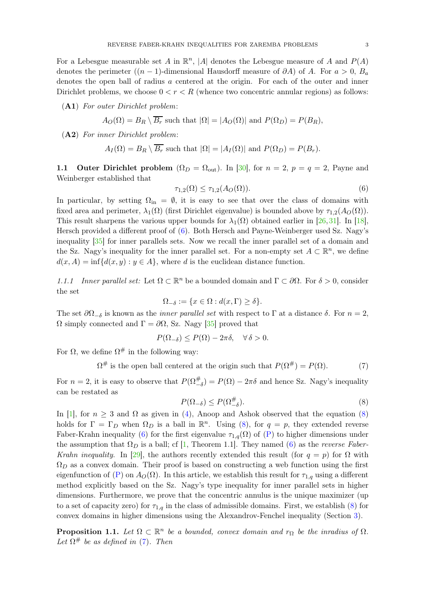<span id="page-2-6"></span>For a Lebesgue measurable set A in  $\mathbb{R}^n$ , |A| denotes the Lebesgue measure of A and  $P(A)$ denotes the perimeter  $((n-1)$ -dimensional Hausdorff measure of  $\partial A$ ) of A. For  $a > 0$ ,  $B_a$ denotes the open ball of radius a centered at the origin. For each of the outer and inner Dirichlet problems, we choose  $0 < r < R$  (whence two concentric annular regions) as follows:

<span id="page-2-4"></span>(A1) *For outer Dirichlet problem*:

$$
A_O(\Omega) = B_R \setminus B_r
$$
 such that  $|\Omega| = |A_O(\Omega)|$  and  $P(\Omega_D) = P(B_R)$ ,

<span id="page-2-5"></span>(A2) *For inner Dirichlet problem*:

$$
A_I(\Omega) = B_R \setminus \overline{B_r}
$$
 such that  $|\Omega| = |A_I(\Omega)|$  and  $P(\Omega_D) = P(B_r)$ .

1.1 Outer Dirichlet problem  $(\Omega_D = \Omega_{\text{out}})$ . In [\[30\]](#page-16-4), for  $n = 2$ ,  $p = q = 2$ , Payne and Weinberger established that

<span id="page-2-0"></span>
$$
\tau_{1,2}(\Omega) \le \tau_{1,2}(A_O(\Omega)).\tag{6}
$$

In particular, by setting  $\Omega_{\text{in}} = \emptyset$ , it is easy to see that over the class of domains with fixed area and perimeter,  $\lambda_1(\Omega)$  (first Dirichlet eigenvalue) is bounded above by  $\tau_{1,2}(A_O(\Omega))$ . This result sharpens the various upper bounds for  $\lambda_1(\Omega)$  obtained earlier in [\[26,](#page-15-10) [31\]](#page-16-5). In [\[18\]](#page-15-11), Hersch provided a different proof of [\(6\)](#page-2-0). Both Hersch and Payne-Weinberger used Sz. Nagy's inequality [\[35\]](#page-16-6) for inner parallels sets. Now we recall the inner parallel set of a domain and the Sz. Nagy's inequality for the inner parallel set. For a non-empty set  $A \subset \mathbb{R}^n$ , we define  $d(x, A) = \inf \{d(x, y) : y \in A\}$ , where d is the euclidean distance function.

*1.1.1 Inner parallel set:* Let  $\Omega \subset \mathbb{R}^n$  be a bounded domain and  $\Gamma \subset \partial \Omega$ . For  $\delta > 0$ , consider the set

$$
\Omega_{-\delta} := \{ x \in \Omega : d(x, \Gamma) \ge \delta \}.
$$

The set  $\partial\Omega_{-\delta}$  is known as the *inner parallel set* with respect to  $\Gamma$  at a distance  $\delta$ . For  $n=2$ ,  $Ω$  simply connected and  $Γ = ∂Ω$ , Sz. Nagy [\[35\]](#page-16-6) proved that

$$
P(\Omega_{-\delta}) \le P(\Omega) - 2\pi\delta, \quad \forall \delta > 0.
$$

For  $\Omega$ , we define  $\Omega^{\#}$  in the following way:

<span id="page-2-2"></span> $\Omega^{\#}$  is the open ball centered at the origin such that  $P(\Omega^{\#}) = P(\Omega)$ . (7)

For  $n=2$ , it is easy to observe that  $P(\Omega_{-\delta}^{\#}) = P(\Omega) - 2\pi\delta$  and hence Sz. Nagy's inequality can be restated as

<span id="page-2-1"></span>
$$
P(\Omega_{-\delta}) \le P(\Omega_{-\delta}^{\#}).\tag{8}
$$

In [\[1\]](#page-14-3), for  $n \geq 3$  and  $\Omega$  as given in [\(4\)](#page-1-2), Anoop and Ashok observed that the equation [\(8\)](#page-2-1) holds for  $\Gamma = \Gamma_D$  when  $\Omega_D$  is a ball in  $\mathbb{R}^n$ . Using [\(8\)](#page-2-1), for  $q = p$ , they extended reverse Faber-Krahn inequality [\(6\)](#page-2-0) for the first eigenvalue  $\tau_{1,q}(\Omega)$  of [\(P\)](#page-1-1) to higher dimensions under the assumption that  $\Omega_D$  is a ball; cf [\[1,](#page-14-3) Theorem 1.1]. They named [\(6\)](#page-2-0) as the *reverse Faber*-*Krahn inequality.* In [\[29\]](#page-16-7), the authors recently extended this result (for  $q = p$ ) for  $\Omega$  with  $\Omega_D$  as a convex domain. Their proof is based on constructing a web function using the first eigenfunction of [\(P\)](#page-1-1) on  $A_O(\Omega)$ . In this article, we establish this result for  $\tau_{1,q}$  using a different method explicitly based on the Sz. Nagy's type inequality for inner parallel sets in higher dimensions. Furthermore, we prove that the concentric annulus is the unique maximizer (up to a set of capacity zero) for  $\tau_{1,q}$  in the class of admissible domains. First, we establish [\(8\)](#page-2-1) for convex domains in higher dimensions using the Alexandrov-Fenchel inequality (Section [3\)](#page-6-0).

<span id="page-2-3"></span>**Proposition 1.1.** Let  $\Omega \subset \mathbb{R}^n$  be a bounded, convex domain and  $r_{\Omega}$  be the inradius of  $\Omega$ . Let  $\Omega^{\#}$  be as defined in [\(7\)](#page-2-2). Then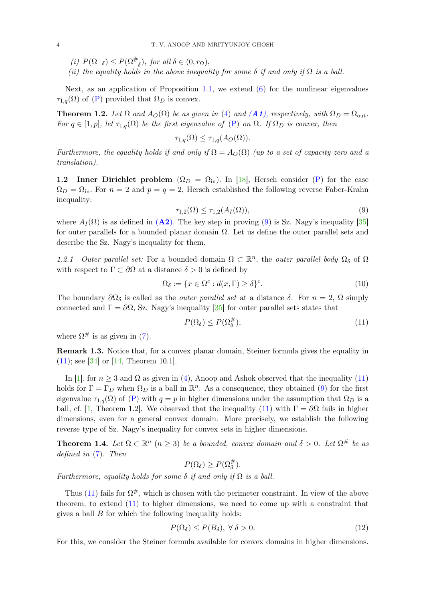<span id="page-3-6"></span>(*i*)  $P(\Omega_{-\delta}) \leq P(\Omega_{-\delta}^{\#})$ , *for all*  $\delta \in (0, r_{\Omega})$ ,

*(ii) the equality holds in the above inequality for some*  $\delta$  *if and only if*  $\Omega$  *is a ball.* 

Next, as an application of Proposition [1.1,](#page-2-3) we extend [\(6\)](#page-2-0) for the nonlinear eigenvalues  $\tau_{1,q}(\Omega)$  of [\(P\)](#page-1-1) provided that  $\Omega_D$  is convex.

<span id="page-3-4"></span>**Theorem 1.2.** Let  $\Omega$  and  $A_O(\Omega)$  be as given in [\(4\)](#page-1-2) and  $(A1)$  $(A1)$  $(A1)$ , respectively, with  $\Omega_D = \Omega_{\text{out}}$ . *For*  $q \in [1, p]$ *, let*  $\tau_{1,q}(\Omega)$  *be the first eigenvalue of* [\(P\)](#page-1-1) *on*  $\Omega$ *. If*  $\Omega_D$  *is convex, then* 

$$
\tau_{1,q}(\Omega) \leq \tau_{1,q}(A_O(\Omega)).
$$

*Furthermore, the equality holds if and only if*  $\Omega = A_O(\Omega)$  *(up to a set of capacity zero and a translation).*

1.2 Inner Dirichlet problem  $(\Omega_D = \Omega_{\text{in}})$ . In [\[18\]](#page-15-11), Hersch consider [\(P\)](#page-1-1) for the case  $\Omega_D = \Omega_{\rm in}$ . For  $n = 2$  and  $p = q = 2$ , Hersch established the following reverse Faber-Krahn inequality:

<span id="page-3-0"></span>
$$
\tau_{1,2}(\Omega) \le \tau_{1,2}(A_I(\Omega)),\tag{9}
$$

where  $A_I(\Omega)$  is as defined in ([A2](#page-2-5)). The key step in proving [\(9\)](#page-3-0) is Sz. Nagy's inequality [\[35\]](#page-16-6) for outer parallels for a bounded planar domain  $\Omega$ . Let us define the outer parallel sets and describe the Sz. Nagy's inequality for them.

1.2.1 Outer parallel set: For a bounded domain  $\Omega \subset \mathbb{R}^n$ , the *outer parallel body*  $\Omega_\delta$  of  $\Omega$ with respect to  $\Gamma \subset \partial\Omega$  at a distance  $\delta > 0$  is defined by

<span id="page-3-2"></span>
$$
\Omega_{\delta} := \{ x \in \Omega^c : d(x, \Gamma) \ge \delta \}^c.
$$
\n(10)

The boundary  $\partial\Omega_{\delta}$  is called as the *outer parallel set* at a distance  $\delta$ . For  $n=2$ ,  $\Omega$  simply connected and  $\Gamma = \partial \Omega$ , Sz. Nagy's inequality [\[35\]](#page-16-6) for outer parallel sets states that

<span id="page-3-1"></span>
$$
P(\Omega_{\delta}) \le P(\Omega_{\delta}^{\#}),\tag{11}
$$

where  $\Omega^{\#}$  is as given in [\(7\)](#page-2-2).

Remark 1.3. Notice that, for a convex planar domain, Steiner formula gives the equality in  $(11)$ ; see [\[34\]](#page-16-8) or [\[14,](#page-15-12) Theorem 10.1].

In [\[1\]](#page-14-3), for  $n \geq 3$  and  $\Omega$  as given in [\(4\)](#page-1-2), Anoop and Ashok observed that the inequality [\(11\)](#page-3-1) holds for  $\Gamma = \Gamma_D$  when  $\Omega_D$  is a ball in  $\mathbb{R}^n$ . As a consequence, they obtained [\(9\)](#page-3-0) for the first eigenvalue  $\tau_{1,q}(\Omega)$  of [\(P\)](#page-1-1) with  $q = p$  in higher dimensions under the assumption that  $\Omega_D$  is a ball; cf. [\[1,](#page-14-3) Theorem 1.2]. We observed that the inequality [\(11\)](#page-3-1) with  $\Gamma = \partial \Omega$  fails in higher dimensions, even for a general convex domain. More precisely, we establish the following reverse type of Sz. Nagy's inequality for convex sets in higher dimensions.

<span id="page-3-5"></span>**Theorem 1.4.** Let  $\Omega \subset \mathbb{R}^n$   $(n \geq 3)$  be a bounded, convex domain and  $\delta > 0$ . Let  $\Omega^{\#}$  be as *defined in* [\(7\)](#page-2-2)*. Then*

$$
P(\Omega_{\delta}) \ge P(\Omega_{\delta}^{\#}).
$$

*Furthermore, equality holds for some*  $\delta$  *if and only if*  $\Omega$  *is a ball.* 

Thus [\(11\)](#page-3-1) fails for  $\Omega^{\#}$ , which is chosen with the perimeter constraint. In view of the above theorem, to extend [\(11\)](#page-3-1) to higher dimensions, we need to come up with a constraint that gives a ball  $B$  for which the following inequality holds:

<span id="page-3-3"></span>
$$
P(\Omega_{\delta}) \le P(B_{\delta}), \ \forall \ \delta > 0. \tag{12}
$$

For this, we consider the Steiner formula available for convex domains in higher dimensions.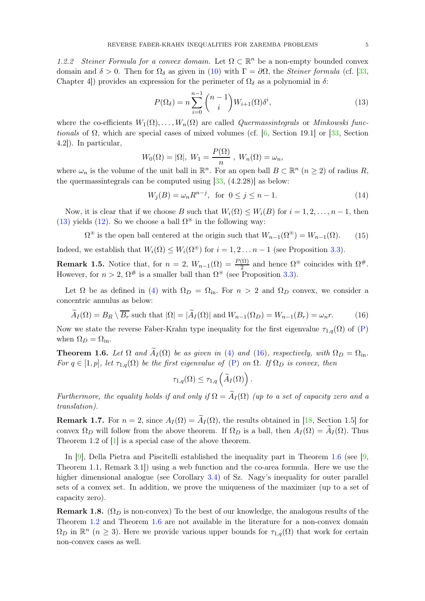<span id="page-4-4"></span>1.2.2 Steiner Formula for a convex domain. Let  $\Omega \subset \mathbb{R}^n$  be a non-empty bounded convex domain and  $\delta > 0$ . Then for  $\Omega_{\delta}$  as given in [\(10\)](#page-3-2) with  $\Gamma = \partial \Omega$ , the *Steiner formula* (cf. [\[33,](#page-16-9) Chapter 4) provides an expression for the perimeter of  $\Omega_{\delta}$  as a polynomial in  $\delta$ :

<span id="page-4-0"></span>
$$
P(\Omega_{\delta}) = n \sum_{i=0}^{n-1} {n-1 \choose i} W_{i+1}(\Omega) \delta^i,
$$
\n(13)

where the co-efficients  $W_1(\Omega), \ldots, W_n(\Omega)$  are called *Quermassintegrals* or *Minkowski functionals* of  $\Omega$ , which are special cases of mixed volumes (cf. [\[6,](#page-15-13) Section 19.1] or [\[33,](#page-16-9) Section 4.2]). In particular,

$$
W_0(\Omega) = |\Omega|, W_1 = \frac{P(\Omega)}{n}, W_n(\Omega) = \omega_n,
$$

where  $\omega_n$  is the volume of the unit ball in  $\mathbb{R}^n$ . For an open ball  $B \subset \mathbb{R}^n$   $(n \geq 2)$  of radius R, the quermassintegrals can be computed using  $[33, (4.2.28)]$  as below:

$$
W_j(B) = \omega_n R^{n-j}, \text{ for } 0 \le j \le n-1.
$$
 (14)

Now, it is clear that if we choose B such that  $W_i(\Omega) \leq W_i(B)$  for  $i = 1, 2, \ldots, n-1$ , then [\(13\)](#page-4-0) yields [\(12\)](#page-3-3). So we choose a ball  $\Omega^*$  in the following way:

<span id="page-4-3"></span> $\Omega^{\circledast}$  is the open ball centered at the origin such that  $W_{n-1}(\Omega^{\circledast}) = W_{n-1}(\Omega)$ . (15)

Indeed, we establish that  $W_i(\Omega) \leq W_i(\Omega^*)$  for  $i = 1, 2, \ldots n-1$  (see Proposition [3.3\)](#page-8-0).

**Remark 1.5.** Notice that, for  $n = 2$ ,  $W_{n-1}(\Omega) = \frac{P(\Omega)}{2}$  and hence  $\Omega^*$  coincides with  $\Omega^*$ . However, for  $n > 2$ ,  $\Omega^{\#}$  is a smaller ball than  $\Omega^{\circ}$  (see Proposition [3.3\)](#page-8-0).

Let  $\Omega$  be as defined in [\(4\)](#page-1-2) with  $\Omega_D = \Omega_{\text{in}}$ . For  $n > 2$  and  $\Omega_D$  convex, we consider a concentric annulus as below:

<span id="page-4-1"></span>
$$
\widetilde{A}_I(\Omega) = B_R \setminus \overline{B_r} \text{ such that } |\Omega| = |\widetilde{A}_I(\Omega)| \text{ and } W_{n-1}(\Omega_D) = W_{n-1}(B_r) = \omega_n r. \tag{16}
$$

Now we state the reverse Faber-Krahn type inequality for the first eigenvalue  $\tau_{1,q}(\Omega)$  of [\(P\)](#page-1-1) when  $\Omega_D = \Omega_{\text{in}}$ .

<span id="page-4-2"></span>**Theorem 1.6.** Let  $\Omega$  and  $\tilde{A}_I(\Omega)$  be as given in [\(4\)](#page-1-2) and [\(16\)](#page-4-1), respectively, with  $\Omega_D = \Omega_{\text{in}}$ . *For*  $q \in [1, p]$ *, let*  $\tau_{1,q}(\Omega)$  *be the first eigenvalue of* [\(P\)](#page-1-1) *on*  $\Omega$ *. If*  $\Omega_D$  *is convex, then* 

$$
\tau_{1,q}(\Omega) \leq \tau_{1,q}\left(\widetilde{A}_I(\Omega)\right).
$$

*Furthermore, the equality holds if and only if*  $\Omega = \widetilde{A}_I(\Omega)$  *(up to a set of capacity zero and a translation).*

**Remark 1.7.** For  $n = 2$ , since  $A_I(\Omega) = \widetilde{A}_I(\Omega)$ , the results obtained in [\[18,](#page-15-11) Section 1.5] for convex  $\Omega_D$  will follow from the above theorem. If  $\Omega_D$  is a ball, then  $A_I(\Omega) = A_I(\Omega)$ . Thus Theorem 1.2 of [\[1\]](#page-14-3) is a special case of the above theorem.

In [\[9\]](#page-15-14), Della Pietra and Piscitelli established the inequality part in Theorem [1.6](#page-4-2) (see [\[9,](#page-15-14) Theorem 1.1, Remark 3.1]) using a web function and the co-area formula. Here we use the higher dimensional analogue (see Corollary [3.4\)](#page-8-1) of Sz. Nagy's inequality for outer parallel sets of a convex set. In addition, we prove the uniqueness of the maximizer (up to a set of capacity zero).

**Remark 1.8.** ( $\Omega_D$  is non-convex) To the best of our knowledge, the analogous results of the Theorem [1.2](#page-3-4) and Theorem [1.6](#page-4-2) are not available in the literature for a non-convex domain  $\Omega_D$  in  $\mathbb{R}^n$  ( $n \geq 3$ ). Here we provide various upper bounds for  $\tau_{1,q}(\Omega)$  that work for certain non-convex cases as well.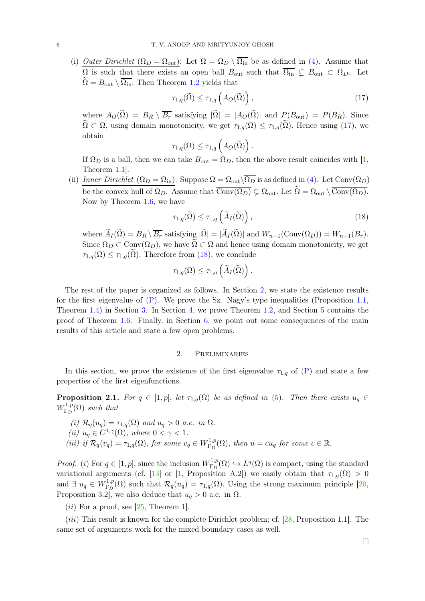<span id="page-5-4"></span>(i) *Outer Dirichlet*  $(\Omega_D = \Omega_{\text{out}})$ : Let  $\Omega = \Omega_D \setminus \overline{\Omega_{\text{in}}}$  be as defined in [\(4\)](#page-1-2). Assume that  $\Omega$  is such that there exists an open ball  $B_{\text{out}}$  such that  $\overline{\Omega_{\text{in}}} \subsetneq B_{\text{out}} \subset \Omega_D$ . Let  $\Omega = B_{\text{out}} \setminus \overline{\Omega_{\text{in}}}$ . Then Theorem [1.2](#page-3-4) yields that

<span id="page-5-1"></span>
$$
\tau_{1,q}(\widetilde{\Omega}) \le \tau_{1,q}\left(A_O(\widetilde{\Omega})\right),\tag{17}
$$

where  $A_O(\tilde{\Omega}) = B_R \setminus \overline{B_r}$  satisfying  $|\tilde{\Omega}| = |A_O(\tilde{\Omega})|$  and  $P(B_{\text{out}}) = P(B_R)$ . Since  $\tilde{\Omega} \subset \Omega$ , using domain monotonicity, we get  $\tau_{1,q}(\Omega) \leq \tau_{1,q}(\tilde{\Omega})$ . Hence using [\(17\)](#page-5-1), we obtain

$$
\tau_{1,q}(\Omega) \leq \tau_{1,q}\left(A_O(\widetilde{\Omega})\right).
$$

If  $\Omega_D$  is a ball, then we can take  $B_{\text{out}} = \Omega_D$ , then the above result coincides with [\[1,](#page-14-3) Theorem 1.1].

(ii) *Inner Dirichlet*  $(\Omega_D = \Omega_{\rm in})$ : Suppose  $\Omega = \Omega_{\rm out} \backslash \Omega_D$  is as defined in [\(4\)](#page-1-2). Let Conv $(\Omega_D)$ be the convex hull of  $\Omega_D$ . Assume that  $Conv(\Omega_D) \subsetneq \Omega_{\text{out}}$ . Let  $\Omega = \Omega_{\text{out}} \setminus Conv(\Omega_D)$ . Now by Theorem [1.6,](#page-4-2) we have

<span id="page-5-2"></span>
$$
\tau_{1,q}(\widetilde{\Omega}) \le \tau_{1,q}\left(\widetilde{A}_I(\widetilde{\Omega})\right),\tag{18}
$$

where  $\widetilde{A}_I(\widetilde{\Omega}) = B_R \setminus \overline{B_r}$  satisfying  $|\widetilde{\Omega}| = |\widetilde{A}_I(\widetilde{\Omega})|$  and  $W_{n-1}(\text{Conv}(\Omega_D)) = W_{n-1}(B_r)$ . Since  $\Omega_D \subset \text{Conv}(\Omega_D)$ , we have  $\Omega \subset \Omega$  and hence using domain monotonicity, we get  $\tau_{1,q}(\Omega) \leq \tau_{1,q}(\Omega)$ . Therefore from [\(18\)](#page-5-2), we conclude

$$
\tau_{1,q}(\Omega) \leq \tau_{1,q}\left(\widetilde{A}_I(\widetilde{\Omega})\right).
$$

The rest of the paper is organized as follows. In Section [2,](#page-5-3) we state the existence results for the first eigenvalue of [\(P\)](#page-1-1). We prove the Sz. Nagy's type inequalities (Proposition [1.1,](#page-2-3) Theorem [1.4\)](#page-3-5) in Section [3.](#page-6-0) In Section [4,](#page-8-2) we prove Theorem [1.2,](#page-3-4) and Section [5](#page-11-0) contains the proof of Theorem [1.6.](#page-4-2) Finally, in Section [6,](#page-13-0) we point out some consequences of the main results of this article and state a few open problems.

#### 2. Preliminaries

<span id="page-5-3"></span>In this section, we prove the existence of the first eigenvalue  $\tau_{1,q}$  of  $(P)$  and state a few properties of the first eigenfunctions.

<span id="page-5-0"></span>**Proposition 2.1.** *For*  $q \in [1, p]$ , *let*  $\tau_{1,q}(\Omega)$  *be as defined in* [\(5\)](#page-1-3)*. Then there exists*  $u_q \in$  $W^{1,p}_{\Gamma_D}$  $\Gamma_D^{1,p}(\Omega)$  such that

- *(i)*  $\mathcal{R}_q(u_q) = \tau_{1,q}(\Omega)$  *and*  $u_q > 0$  *a.e. in*  $\Omega$ .
- (*ii*)  $u_q \in C^{1,\gamma}(\Omega)$ *, where*  $0 < \gamma < 1$ *.*
- *(iii) if*  $\mathcal{R}_q(v_q) = \tau_{1,q}(\Omega)$ , *for some*  $v_q \in W^{1,p}_{\Gamma_p}$  $\Gamma_D^{1,p}(\Omega)$ , then  $u = cu_q$  for some  $c \in \mathbb{R}$ .

*Proof.* (*i*) For  $q \in [1, p]$ , since the inclusion  $W_{\Gamma_p}^{1,p}$  $L^{1,p}(\Omega) \hookrightarrow L^q(\Omega)$  is compact, using the standard variational arguments (cf. [\[13\]](#page-15-15) or [\[1,](#page-14-3) Proposition A.2]) we easily obtain that  $\tau_{1,q}(\Omega) > 0$ and  $\exists u_q \in W^{1,p}_{\Gamma_D}$  $\Gamma_{\text{D}}^{1,p}(\Omega)$  such that  $\mathcal{R}_q(u_q) = \tau_{1,q}(\Omega)$ . Using the strong maximum principle  $[20, 1]$ Proposition 3.2, we also deduce that  $u_q > 0$  a.e. in  $\Omega$ .

 $(ii)$  For a proof, see [\[25,](#page-15-17) Theorem 1].

(*iii*) This result is known for the complete Dirichlet problem; cf. [\[28,](#page-16-3) Proposition 1.1]. The same set of arguments work for the mixed boundary cases as well.

 $\Box$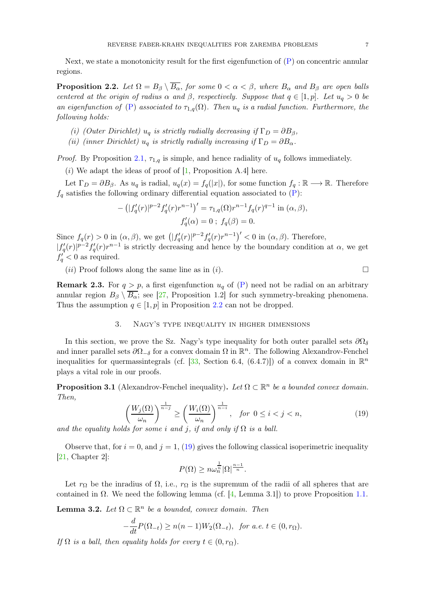<span id="page-6-6"></span>Next, we state a monotonicity result for the first eigenfunction of  $(P)$  on concentric annular regions.

<span id="page-6-1"></span>**Proposition 2.2.** Let  $\Omega = B_\beta \setminus \overline{B_\alpha}$ , for some  $0 < \alpha < \beta$ , where  $B_\alpha$  and  $B_\beta$  are open balls *centered at the origin of radius*  $\alpha$  *and*  $\beta$ *, respectively. Suppose that*  $q \in [1, p]$ *. Let*  $u_q > 0$  *be an eigenfunction of* [\(P\)](#page-1-1) *associated to*  $\tau_{1,q}(\Omega)$ *. Then*  $u_q$  *is a radial function. Furthermore, the following holds:*

- *(i) (Outer Dirichlet)*  $u_q$  *is strictly radially decreasing if*  $\Gamma_D = \partial B_\beta$ *,*
- *(ii) (inner Dirichlet)*  $u_q$  *is strictly radially increasing if*  $\Gamma_D = \partial B_\alpha$ .

*Proof.* By Proposition [2.1,](#page-5-0)  $\tau_{1,q}$  is simple, and hence radiality of  $u_q$  follows immediately.

(i) We adapt the ideas of proof of  $[1,$  Proposition A.4] here.

Let  $\Gamma_D = \partial B_\beta$ . As  $u_q$  is radial,  $u_q(x) = f_q(|x|)$ , for some function  $f_q : \mathbb{R} \longrightarrow \mathbb{R}$ . Therefore  $f_q$  satisfies the following ordinary differential equation associated to  $(P)$ :

$$
-(|f'_q(r)|^{p-2}f'_q(r)r^{n-1})' = \tau_{1,q}(\Omega)r^{n-1}f_q(r)^{q-1} \text{ in } (\alpha, \beta),
$$
  

$$
f'_q(\alpha) = 0 \; ; \; f_q(\beta) = 0.
$$

Since  $f_q(r) > 0$  in  $(\alpha, \beta)$ , we get  $\left( |f'_q(r)|^{p-2} f'_q(r) r^{n-1} \right)' < 0$  in  $(\alpha, \beta)$ . Therefore,  $|f'_q(r)|^{p-2} f'_q(r) r^{n-1}$  is strictly decreasing and hence by the boundary condition at  $\alpha$ , we get  $f'_q < 0$  as required.

 $(ii)$  Proof follows along the same line as in  $(i)$ .

<span id="page-6-5"></span><span id="page-6-0"></span>**Remark 2.3.** For  $q > p$ , a first eigenfunction  $u_q$  of [\(P\)](#page-1-1) need not be radial on an arbitrary annular region  $B_\beta \setminus \overline{B_\alpha}$ ; see [\[27,](#page-15-8) Proposition 1.2] for such symmetry-breaking phenomena. Thus the assumption  $q \in [1, p]$  in Proposition [2.2](#page-6-1) can not be dropped.

## 3. Nagy's type inequality in higher dimensions

In this section, we prove the Sz. Nagy's type inequality for both outer parallel sets  $\partial\Omega_{\delta}$ and inner parallel sets  $\partial\Omega_{-\delta}$  for a convex domain  $\Omega$  in  $\mathbb{R}^n$ . The following Alexandrov-Fenchel inequalities for quermassintegrals (cf. [\[33,](#page-16-9) Section 6.4, (6.4.7)]) of a convex domain in  $\mathbb{R}^n$ plays a vital role in our proofs.

<span id="page-6-4"></span>**Proposition 3.1** (Alexandrov-Fenchel inequality). Let  $\Omega \subset \mathbb{R}^n$  be a bounded convex domain. *Then,*

<span id="page-6-2"></span>
$$
\left(\frac{W_j(\Omega)}{\omega_n}\right)^{\frac{1}{n-j}} \ge \left(\frac{W_i(\Omega)}{\omega_n}\right)^{\frac{1}{n-i}}, \quad \text{for } 0 \le i < j < n,
$$
\nAs for some i and i, if and only if  $\Omega$  is a ball.

\n
$$
\left(\frac{W_j(\Omega)}{\omega_n}\right)^{\frac{1}{n-i}} \ge \left(\frac{W_i(\Omega)}{\omega_n}\right)^{\frac{1}{n-i}}, \quad \text{for } 0 \le i < j < n,
$$
\n(19)

and the equality holds for some i and j, if and only if  $\Omega$  is a ball.

Observe that, for  $i = 0$ , and  $j = 1$ , [\(19\)](#page-6-2) gives the following classical isoperimetric inequality [\[21,](#page-15-18) Chapter 2]:

$$
P(\Omega) \ge n\omega_n^{\frac{1}{n}} |\Omega|^{\frac{n-1}{n}}.
$$

Let  $r_{\Omega}$  be the inradius of  $\Omega$ , i.e.,  $r_{\Omega}$  is the supremum of the radii of all spheres that are contained in  $\Omega$ . We need the following lemma (cf. [\[4,](#page-14-4) Lemma 3.1]) to prove Proposition [1.1.](#page-2-3)

<span id="page-6-3"></span>**Lemma 3.2.** *Let*  $\Omega \subset \mathbb{R}^n$  *be a bounded, convex domain. Then* 

$$
-\frac{d}{dt}P(\Omega_{-t}) \ge n(n-1)W_2(\Omega_{-t}), \text{ for a.e. } t \in (0, r_\Omega).
$$

*If*  $\Omega$  *is a ball, then equality holds for every*  $t \in (0, r_{\Omega})$ *.*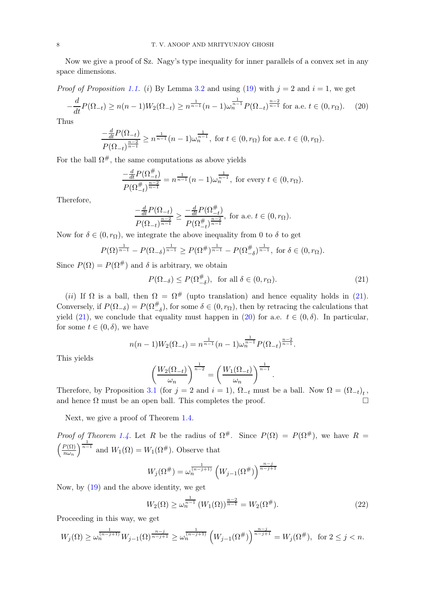Now we give a proof of Sz. Nagy's type inequality for inner parallels of a convex set in any space dimensions.

*Proof of Proposition [1.1.](#page-2-3)* (i) By Lemma [3.2](#page-6-3) and using [\(19\)](#page-6-2) with  $j = 2$  and  $i = 1$ , we get

$$
-\frac{d}{dt}P(\Omega_{-t}) \ge n(n-1)W_2(\Omega_{-t}) \ge n^{\frac{1}{n-1}}(n-1)\omega_n^{\frac{1}{n-1}}P(\Omega_{-t})^{\frac{n-2}{n-1}}\text{ for a.e. }t\in(0,r_\Omega). \tag{20}
$$

Thus

$$
\frac{-\frac{d}{dt}P(\Omega_{-t})}{P(\Omega_{-t})^{\frac{n-2}{n-1}}} \ge n^{\frac{1}{n-1}}(n-1)\omega_n^{\frac{1}{n-1}}, \text{ for } t \in (0, r_\Omega) \text{ for a.e. } t \in (0, r_\Omega).
$$

For the ball  $\Omega^{\#}$ , the same computations as above yields

<span id="page-7-1"></span>
$$
\frac{-\frac{d}{dt}P(\Omega_{-t}^{\#})}{P(\Omega_{-t}^{\#})^{\frac{n-2}{n-1}}} = n^{\frac{1}{n-1}}(n-1)\omega_n^{\frac{1}{n-1}}, \text{ for every } t \in (0, r_\Omega).
$$

Therefore,

$$
\frac{-\frac{d}{dt}P(\Omega_{-t})}{P(\Omega_{-t})^{\frac{n-2}{n-1}}} \ge \frac{-\frac{d}{dt}P(\Omega_{-t}^{\#})}{P(\Omega_{-t}^{\#})^{\frac{n-2}{n-1}}}, \text{ for a.e. } t \in (0, r_{\Omega}).
$$

Now for  $\delta \in (0, r_{\Omega})$ , we integrate the above inequality from 0 to  $\delta$  to get

$$
P(\Omega)^{\frac{1}{n-1}} - P(\Omega_{-\delta})^{\frac{1}{n-1}} \ge P(\Omega^{\#})^{\frac{1}{n-1}} - P(\Omega_{-\delta}^{\#})^{\frac{1}{n-1}}, \text{ for } \delta \in (0, r_{\Omega}).
$$

Since  $P(\Omega) = P(\Omega^{\#})$  and  $\delta$  is arbitrary, we obtain

<span id="page-7-0"></span>
$$
P(\Omega_{-\delta}) \le P(\Omega_{-\delta}^{\#}), \text{ for all } \delta \in (0, r_{\Omega}).
$$
\n(21)

.

(ii) If  $\Omega$  is a ball, then  $\Omega = \Omega^{\#}$  (upto translation) and hence equality holds in [\(21\)](#page-7-0). Conversely, if  $P(\Omega_{-\delta}) = P(\Omega_{-\delta}^{\#})$ , for some  $\delta \in (0, r_{\Omega})$ , then by retracing the calculations that yield [\(21\)](#page-7-0), we conclude that equality must happen in [\(20\)](#page-7-1) for a.e.  $t \in (0, \delta)$ . In particular, for some  $t \in (0, \delta)$ , we have

$$
n(n-1)W_2(\Omega_{-t}) = n^{\frac{1}{n-1}}(n-1)\omega_n^{\frac{1}{n-1}}P(\Omega_{-t})^{\frac{n-2}{n-1}}.
$$

This yields

$$
\left(\frac{W_2(\Omega_{-t})}{\omega_n}\right)^{\frac{1}{n-2}} = \left(\frac{W_1(\Omega_{-t})}{\omega_n}\right)^{\frac{1}{n-1}}
$$

Therefore, by Proposition [3.1](#page-6-4) (for  $j = 2$  and  $i = 1$ ),  $\Omega_{-t}$  must be a ball. Now  $\Omega = (\Omega_{-t})_t$ , and hence  $\Omega$  must be an open ball. This completes the proof.

Next, we give a proof of Theorem [1.4.](#page-3-5)

*Proof of Theorem [1.4.](#page-3-5)* Let R be the radius of  $\Omega^{\#}$ . Since  $P(\Omega) = P(\Omega^{\#})$ , we have R =  $\int P(\Omega)$  $n\omega_n$  $\int_{0}^{\frac{1}{n-1}}$  and  $W_1(\Omega) = W_1(\Omega^{\#})$ . Observe that

$$
W_j(\Omega^{\#}) = \omega_n^{\frac{1}{(n-j+1)}} \left( W_{j-1}(\Omega^{\#}) \right)^{\frac{n-j}{n-j+1}}
$$

Now, by [\(19\)](#page-6-2) and the above identity, we get

$$
W_2(\Omega) \ge \omega_n^{\frac{1}{n-1}} \left( W_1(\Omega) \right)^{\frac{n-2}{n-1}} = W_2(\Omega^{\#}). \tag{22}
$$

Proceeding in this way, we get

$$
W_j(\Omega) \ge \omega_n^{\frac{1}{(n-j+1)}} W_{j-1}(\Omega)^{\frac{n-j}{n-j+1}} \ge \omega_n^{\frac{1}{(n-j+1)}} \left(W_{j-1}(\Omega^\#)\right)^{\frac{n-j}{n-j+1}} = W_j(\Omega^\#), \text{ for } 2 \le j < n.
$$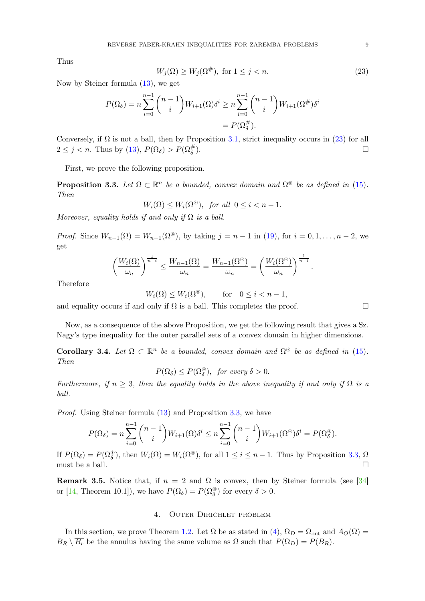<span id="page-8-4"></span>Thus

<span id="page-8-3"></span>
$$
W_j(\Omega) \ge W_j(\Omega^\#), \text{ for } 1 \le j < n. \tag{23}
$$

Now by Steiner formula [\(13\)](#page-4-0), we get

$$
P(\Omega_{\delta}) = n \sum_{i=0}^{n-1} {n-1 \choose i} W_{i+1}(\Omega) \delta^{i} \ge n \sum_{i=0}^{n-1} {n-1 \choose i} W_{i+1}(\Omega^{\#}) \delta^{i}
$$
  
=  $P(\Omega_{\delta}^{\#}).$ 

Conversely, if  $\Omega$  is not a ball, then by Proposition [3.1,](#page-6-4) strict inequality occurs in [\(23\)](#page-8-3) for all  $2 \leq j < n$ . Thus by [\(13\)](#page-4-0),  $P(\Omega_{\delta}) > P(\Omega_{\delta}^{\#})$ ).  $\qquad \qquad \Box$ 

First, we prove the following proposition.

<span id="page-8-0"></span>**Proposition 3.3.** Let  $\Omega \subset \mathbb{R}^n$  be a bounded, convex domain and  $\Omega^*$  be as defined in [\(15\)](#page-4-3). *Then*

$$
W_i(\Omega) \le W_i(\Omega^*) \quad \text{for all } 0 \le i < n-1.
$$

*Moreover, equality holds if and only if*  $\Omega$  *is a ball.* 

*Proof.* Since  $W_{n-1}(\Omega) = W_{n-1}(\Omega^*)$ , by taking  $j = n-1$  in [\(19\)](#page-6-2), for  $i = 0, 1, ..., n-2$ , we get

$$
\left(\frac{W_i(\Omega)}{\omega_n}\right)^{\frac{1}{n-i}} \leq \frac{W_{n-1}(\Omega)}{\omega_n} = \frac{W_{n-1}(\Omega^{\circledast})}{\omega_n} = \left(\frac{W_i(\Omega^{\circledast})}{\omega_n}\right)^{\frac{1}{n-i}}.
$$

Therefore

$$
W_i(\Omega) \le W_i(\Omega^*)^{\text{th}}, \quad \text{for} \quad 0 \le i < n-1,
$$

and equality occurs if and only if  $\Omega$  is a ball. This completes the proof.

Now, as a consequence of the above Proposition, we get the following result that gives a Sz. Nagy's type inequality for the outer parallel sets of a convex domain in higher dimensions.

<span id="page-8-1"></span>Corollary 3.4. Let  $\Omega \subset \mathbb{R}^n$  be a bounded, convex domain and  $\Omega^*$  be as defined in [\(15\)](#page-4-3). *Then*

$$
P(\Omega_{\delta}) \le P(\Omega_{\delta}^{\circledast}), \text{ for every } \delta > 0.
$$

*Furthermore, if*  $n \geq 3$ *, then the equality holds in the above inequality if and only if*  $\Omega$  *is a ball.*

*Proof.* Using Steiner formula  $(13)$  and Proposition [3.3,](#page-8-0) we have

$$
P(\Omega_{\delta}) = n \sum_{i=0}^{n-1} {n-1 \choose i} W_{i+1}(\Omega) \delta^i \le n \sum_{i=0}^{n-1} {n-1 \choose i} W_{i+1}(\Omega^{\circledast}) \delta^i = P(\Omega^{\circledast}_{\delta}).
$$

If  $P(\Omega_{\delta}) = P(\Omega_{\delta}^{\circledast})$ , then  $W_i(\Omega) = W_i(\Omega^{\circledast})$ , for all  $1 \leq i \leq n-1$ . Thus by Proposition [3.3,](#page-8-0)  $\Omega$ must be a ball.  $\square$ 

<span id="page-8-2"></span>Remark 3.5. Notice that, if  $n = 2$  and  $\Omega$  is convex, then by Steiner formula (see [\[34\]](#page-16-8) or [\[14,](#page-15-12) Theorem 10.1]), we have  $P(\Omega_{\delta}) = P(\Omega_{\delta}^*)$  for every  $\delta > 0$ .

## 4. Outer Dirichlet problem

In this section, we prove Theorem [1.2.](#page-3-4) Let  $\Omega$  be as stated in [\(4\)](#page-1-2),  $\Omega_D = \Omega_{\text{out}}$  and  $A_O(\Omega)$  $B_R \setminus \overline{B_r}$  be the annulus having the same volume as  $\Omega$  such that  $P(\Omega_D) = P(B_R)$ .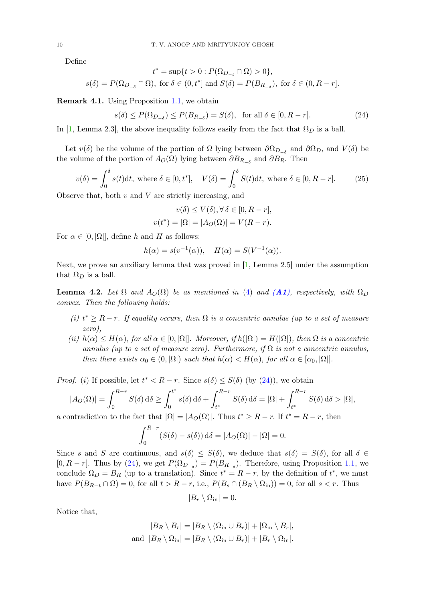Define

$$
t^*=\sup\{t>0:P(\Omega_{D_{-t}}\cap\Omega)>0\},
$$
  

$$
s(\delta)=P(\Omega_{D_{-\delta}}\cap\Omega), \text{ for } \delta\in(0,t^*] \text{ and } S(\delta)=P(B_{R_{-\delta}}), \text{ for } \delta\in(0,R-r].
$$

Remark 4.1. Using Proposition [1.1,](#page-2-3) we obtain

<span id="page-9-0"></span>
$$
s(\delta) \le P(\Omega_{D_{-\delta}}) \le P(B_{R_{-\delta}}) = S(\delta), \text{ for all } \delta \in [0, R - r].
$$
 (24)

In [\[1,](#page-14-3) Lemma 2.3], the above inequality follows easily from the fact that  $\Omega_D$  is a ball.

Let  $v(\delta)$  be the volume of the portion of  $\Omega$  lying between  $\partial\Omega_{D-\delta}$  and  $\partial\Omega_D$ , and  $V(\delta)$  be the volume of the portion of  $A_O(\Omega)$  lying between  $\partial B_{R_{-\delta}}$  and  $\partial B_R$ . Then

<span id="page-9-1"></span>
$$
v(\delta) = \int_0^\delta s(t)dt, \text{ where } \delta \in [0, t^*], \quad V(\delta) = \int_0^\delta S(t)dt, \text{ where } \delta \in [0, R - r]. \tag{25}
$$

Observe that, both  $v$  and  $V$  are strictly increasing, and

$$
v(\delta) \le V(\delta), \forall \delta \in [0, R - r],
$$
  

$$
v(t^*) = |\Omega| = |A_O(\Omega)| = V(R - r).
$$

For  $\alpha \in [0, |\Omega|]$ , define h and H as follows:

$$
h(\alpha) = s(v^{-1}(\alpha)), \quad H(\alpha) = S(V^{-1}(\alpha)).
$$

Next, we prove an auxiliary lemma that was proved in  $[1, \text{Lemma } 2.5]$  under the assumption that  $\Omega_D$  is a ball.

<span id="page-9-2"></span>**Lemma 4.2.** Let  $\Omega$  and  $A_O(\Omega)$  be as mentioned in [\(4\)](#page-1-2) and ([A1](#page-2-4)), respectively, with  $\Omega_D$ *convex. Then the following holds:*

- $(i)$   $t^*$  ≥ R − r. If equality occurs, then  $\Omega$  *is a concentric annulus (up to a set of measure zero),*
- *(ii)*  $h(\alpha) \leq H(\alpha)$ , for all  $\alpha \in [0, |\Omega|]$ *. Moreover, if*  $h(|\Omega|) = H(|\Omega|)$ *, then*  $\Omega$  *is a concentric annulus (up to a set of measure zero). Furthermore, if*  $\Omega$  *is not a concentric annulus, then there exists*  $\alpha_0 \in (0, |\Omega|)$  *such that*  $h(\alpha) < H(\alpha)$ *, for all*  $\alpha \in [\alpha_0, |\Omega|]$ *.*

*Proof.* (i) If possible, let  $t^* < R - r$ . Since  $s(\delta) \leq S(\delta)$  (by [\(24\)](#page-9-0)), we obtain

$$
|A_O(\Omega)| = \int_0^{R-r} S(\delta) d\delta \ge \int_0^{t^*} s(\delta) d\delta + \int_{t^*}^{R-r} S(\delta) d\delta = |\Omega| + \int_{t^*}^{R-r} S(\delta) d\delta > |\Omega|,
$$

a contradiction to the fact that  $|\Omega| = |A_O(\Omega)|$ . Thus  $t^* \ge R - r$ . If  $t^* = R - r$ , then

$$
\int_0^{R-r} (S(\delta) - s(\delta)) d\delta = |A_O(\Omega)| - |\Omega| = 0.
$$

Since s and S are continuous, and  $s(\delta) \leq S(\delta)$ , we deduce that  $s(\delta) = S(\delta)$ , for all  $\delta \in$  $[0, R - r]$ . Thus by [\(24\)](#page-9-0), we get  $P(\Omega_{D_{-\delta}}) = P(B_{R_{-\delta}})$ . Therefore, using Proposition [1.1,](#page-2-3) we conclude  $\Omega_D = B_R$  (up to a translation). Since  $t^* = R - r$ , by the definition of  $t^*$ , we must have  $P(B_{R-t} \cap \Omega) = 0$ , for all  $t > R-r$ , i.e.,  $P(B_s \cap (B_R \setminus \Omega_{\text{in}})) = 0$ , for all  $s < r$ . Thus

$$
|B_r \setminus \Omega_{\rm in}| = 0.
$$

Notice that,

$$
|B_R \setminus B_r| = |B_R \setminus (\Omega_{\text{in}} \cup B_r)| + |\Omega_{\text{in}} \setminus B_r|,
$$
  
and  $|B_R \setminus \Omega_{\text{in}}| = |B_R \setminus (\Omega_{\text{in}} \cup B_r)| + |B_r \setminus \Omega_{\text{in}}|.$ 

<span id="page-9-3"></span>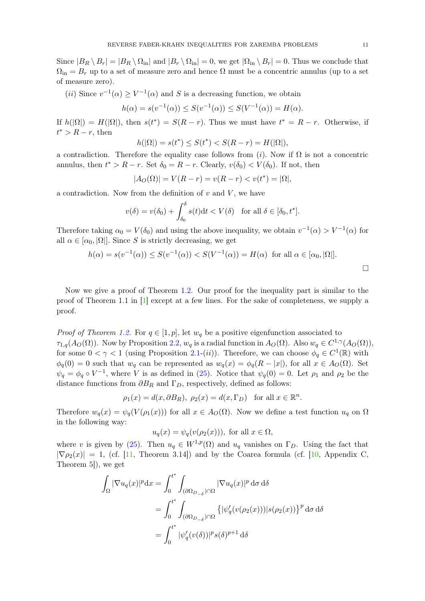<span id="page-10-0"></span>Since  $|B_R \setminus B_r| = |B_R \setminus \Omega_{\text{in}}|$  and  $|B_r \setminus \Omega_{\text{in}}| = 0$ , we get  $|\Omega_{\text{in}} \setminus B_r| = 0$ . Thus we conclude that  $\Omega_{\text{in}} = B_r$  up to a set of measure zero and hence  $\Omega$  must be a concentric annulus (up to a set of measure zero).

(*ii*) Since  $v^{-1}(\alpha) \ge V^{-1}(\alpha)$  and S is a decreasing function, we obtain

$$
h(\alpha) = s(v^{-1}(\alpha)) \le S(v^{-1}(\alpha)) \le S(V^{-1}(\alpha)) = H(\alpha).
$$

If  $h(|\Omega|) = H(|\Omega|)$ , then  $s(t^*) = S(R - r)$ . Thus we must have  $t^* = R - r$ . Otherwise, if  $t^* > R - r$ , then

$$
h(|\Omega|) = s(t^*) \le S(t^*) < S(R - r) = H(|\Omega|),
$$

a contradiction. Therefore the equality case follows from (i). Now if  $\Omega$  is not a concentric annulus, then  $t^* > R - r$ . Set  $\delta_0 = R - r$ . Clearly,  $v(\delta_0) < V(\delta_0)$ . If not, then

$$
|A_O(\Omega)| = V(R - r) = v(R - r) < v(t^*) = |\Omega|,
$$

a contradiction. Now from the definition of  $v$  and  $V$ , we have

$$
v(\delta) = v(\delta_0) + \int_{\delta_0}^{\delta} s(t) dt < V(\delta) \quad \text{for all } \delta \in [\delta_0, t^*].
$$

Therefore taking  $\alpha_0 = V(\delta_0)$  and using the above inequality, we obtain  $v^{-1}(\alpha) > V^{-1}(\alpha)$  for all  $\alpha \in [\alpha_0, |\Omega|]$ . Since S is strictly decreasing, we get

$$
h(\alpha) = s(v^{-1}(\alpha)) \le S(v^{-1}(\alpha)) < S(V^{-1}(\alpha)) = H(\alpha) \text{ for all } \alpha \in [\alpha_0, |\Omega|].
$$

Now we give a proof of Theorem [1.2.](#page-3-4) Our proof for the inequality part is similar to the proof of Theorem 1.1 in [\[1\]](#page-14-3) except at a few lines. For the sake of completeness, we supply a proof.

*Proof of Theorem [1.2.](#page-3-4)* For  $q \in [1, p]$ , let  $w_q$  be a positive eigenfunction associated to  $\tau_{1,q}(A_O(\Omega))$ . Now by Proposition [2.2,](#page-6-1)  $w_q$  is a radial function in  $A_O(\Omega)$ . Also  $w_q \in C^{1,\gamma}(A_O(\Omega))$ , for some  $0 < \gamma < 1$  (using Proposition [2.1-](#page-5-0)(*ii*)). Therefore, we can choose  $\phi_q \in C^1(\mathbb{R})$  with  $\phi_q(0) = 0$  such that  $w_q$  can be represented as  $w_q(x) = \phi_q(R - |x|)$ , for all  $x \in A_O(\Omega)$ . Set  $\psi_q = \phi_q \circ V^{-1}$ , where V is as defined in [\(25\)](#page-9-1). Notice that  $\psi_q(0) = 0$ . Let  $\rho_1$  and  $\rho_2$  be the distance functions from  $\partial B_R$  and  $\Gamma_D$ , respectively, defined as follows:

$$
\rho_1(x) = d(x, \partial B_R), \ \rho_2(x) = d(x, \Gamma_D)
$$
 for all  $x \in \mathbb{R}^n$ .

Therefore  $w_q(x) = \psi_q(V(\rho_1(x)))$  for all  $x \in A_Q(\Omega)$ . Now we define a test function  $u_q$  on  $\Omega$ in the following way:

$$
u_q(x) = \psi_q(v(\rho_2(x))),
$$
 for all  $x \in \Omega$ ,

where v is given by [\(25\)](#page-9-1). Then  $u_q \in W^{1,p}(\Omega)$  and  $u_q$  vanishes on  $\Gamma_D$ . Using the fact that  $|\nabla \rho_2(x)| = 1$ , (cf. [\[11,](#page-15-19) Theorem 3.14]) and by the Coarea formula (cf. [\[10,](#page-15-20) Appendix C, Theorem 5]), we get

$$
\begin{aligned} \int_{\Omega} |\nabla u_q(x)|^p \mathrm{d}x &= \int_0^{t^*} \int_{(\partial \Omega_{D_{-\delta}}) \cap \Omega} |\nabla u_q(x)|^p \, \mathrm{d}\sigma \, \mathrm{d}\delta \\ &= \int_0^{t^*} \int_{(\partial \Omega_{D_{-\delta}}) \cap \Omega} \left\{ |\psi_q'(v(\rho_2(x)))| s(\rho_2(x)) \right\}^p \mathrm{d}\sigma \, \mathrm{d}\delta \\ &= \int_0^{t^*} |\psi_q'(v(\delta))|^p s(\delta)^{p+1} \, \mathrm{d}\delta \end{aligned}
$$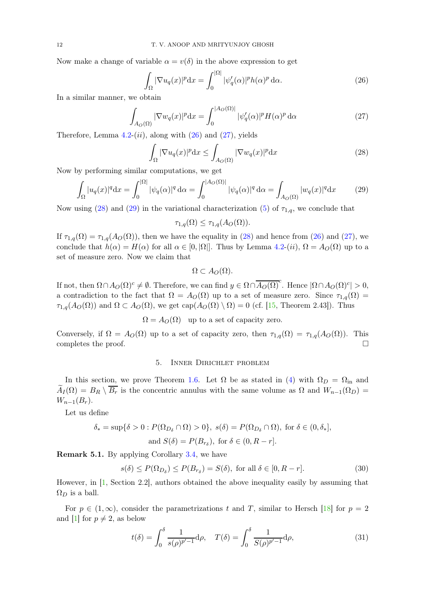<span id="page-11-7"></span>Now make a change of variable  $\alpha = v(\delta)$  in the above expression to get

<span id="page-11-1"></span>
$$
\int_{\Omega} |\nabla u_q(x)|^p dx = \int_0^{|\Omega|} |\psi'_q(\alpha)|^p h(\alpha)^p d\alpha.
$$
 (26)

In a similar manner, we obtain

<span id="page-11-2"></span>
$$
\int_{A_O(\Omega)} |\nabla w_q(x)|^p \, dx = \int_0^{|A_O(\Omega)|} |\psi'_q(\alpha)|^p H(\alpha)^p \, d\alpha \tag{27}
$$

Therefore, Lemma  $4.2-(ii)$  $4.2-(ii)$ , along with  $(26)$  and  $(27)$ , yields

<span id="page-11-3"></span>
$$
\int_{\Omega} |\nabla u_q(x)|^p \, dx \le \int_{A_O(\Omega)} |\nabla w_q(x)|^p \, dx \tag{28}
$$

Now by performing similar computations, we get

<span id="page-11-4"></span>
$$
\int_{\Omega} |u_q(x)|^q dx = \int_0^{|\Omega|} |\psi_q(\alpha)|^q d\alpha = \int_0^{|A_O(\Omega)|} |\psi_q(\alpha)|^q d\alpha = \int_{A_O(\Omega)} |w_q(x)|^q dx \tag{29}
$$

Now using [\(28\)](#page-11-3) and [\(29\)](#page-11-4) in the variational characterization [\(5\)](#page-1-3) of  $\tau_{1,q}$ , we conclude that

$$
\tau_{1,q}(\Omega) \le \tau_{1,q}(A_O(\Omega)).
$$

If  $\tau_{1,q}(\Omega) = \tau_{1,q}(A_O(\Omega))$ , then we have the equality in [\(28\)](#page-11-3) and hence from [\(26\)](#page-11-1) and [\(27\)](#page-11-2), we conclude that  $h(\alpha) = H(\alpha)$  for all  $\alpha \in [0, |\Omega|]$ . Thus by Lemma [4.2-](#page-9-2)(*ii*),  $\Omega = A_O(\Omega)$  up to a set of measure zero. Now we claim that

$$
\Omega \subset A_O(\Omega).
$$

If not, then  $\Omega \cap A_O(\Omega)^c \neq \emptyset$ . Therefore, we can find  $y \in \Omega \cap \overline{A_O(\Omega)}^c$ . Hence  $|\Omega \cap A_O(\Omega)^c| > 0$ , a contradiction to the fact that  $\Omega = A_O(\Omega)$  up to a set of measure zero. Since  $\tau_{1,q}(\Omega)$  $\tau_{1,q}(A_O(\Omega))$  and  $\Omega \subset A_O(\Omega)$ , we get  $cap(A_O(\Omega) \setminus \Omega) = 0$  (cf. [\[15,](#page-15-21) Theorem 2.43]). Thus

 $\Omega = A_O(\Omega)$  up to a set of capacity zero.

<span id="page-11-0"></span>Conversely, if  $\Omega = A_O(\Omega)$  up to a set of capacity zero, then  $\tau_{1,q}(\Omega) = \tau_{1,q}(A_O(\Omega))$ . This completes the proof.  $\Box$ 

# 5. Inner Dirichlet problem

In this section, we prove Theorem [1.6.](#page-4-2) Let  $\Omega$  be as stated in [\(4\)](#page-1-2) with  $\Omega_D = \Omega_{\text{in}}$  and  $\widetilde{A}_I(\Omega) = B_R \setminus \overline{B_r}$  is the concentric annulus with the same volume as  $\Omega$  and  $W_{n-1}(\Omega_D) =$  $W_{n-1}(B_r)$ .

Let us define

$$
\delta_* = \sup \{ \delta > 0 : P(\Omega_{D_{\delta}} \cap \Omega) > 0 \}, \ s(\delta) = P(\Omega_{D_{\delta}} \cap \Omega), \text{ for } \delta \in (0, \delta_*],
$$
  
and 
$$
S(\delta) = P(B_{r_{\delta}}), \text{ for } \delta \in (0, R - r].
$$

Remark 5.1. By applying Corollary [3.4,](#page-8-1) we have

<span id="page-11-5"></span>
$$
s(\delta) \le P(\Omega_{D_{\delta}}) \le P(B_{r_{\delta}}) = S(\delta), \text{ for all } \delta \in [0, R - r].
$$
 (30)

However, in [\[1,](#page-14-3) Section 2.2], authors obtained the above inequality easily by assuming that  $\Omega_D$  is a ball.

For  $p \in (1,\infty)$ , consider the parametrizations t and T, similar to Hersch [\[18\]](#page-15-11) for  $p = 2$ and [\[1\]](#page-14-3) for  $p \neq 2$ , as below

<span id="page-11-6"></span>
$$
t(\delta) = \int_0^{\delta} \frac{1}{s(\rho)^{p'-1}} d\rho, \quad T(\delta) = \int_0^{\delta} \frac{1}{S(\rho)^{p'-1}} d\rho,
$$
 (31)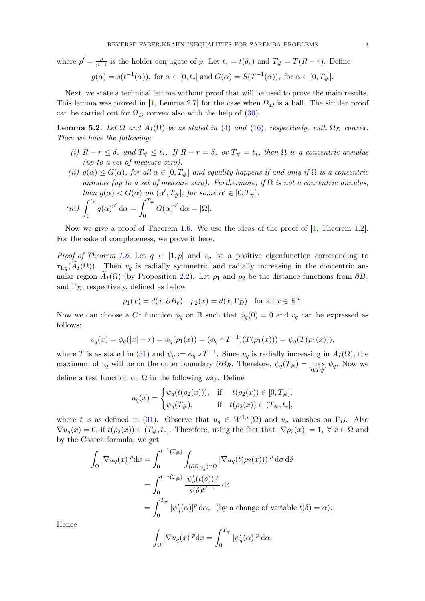<span id="page-12-1"></span>where  $p' = \frac{p}{n}$  $\frac{p}{p-1}$  is the holder conjugate of p. Let  $t_* = t(\delta_*)$  and  $T_{\#} = T(R - r)$ . Define  $g(\alpha) = s(t^{-1}(\alpha)), \text{ for } \alpha \in [0, t_*] \text{ and } G(\alpha) = S(T^{-1}(\alpha)), \text{ for } \alpha \in [0, T_*].$ 

Next, we state a technical lemma without proof that will be used to prove the main results. This lemma was proved in [\[1,](#page-14-3) Lemma 2.7] for the case when  $\Omega_D$  is a ball. The similar proof can be carried out for  $\Omega_D$  convex also with the help of [\(30\)](#page-11-5).

<span id="page-12-0"></span>**Lemma 5.2.** Let  $\Omega$  and  $\tilde{A}_I(\Omega)$  be as stated in [\(4\)](#page-1-2) and [\(16\)](#page-4-1), respectively, with  $\Omega_D$  convex. *Then we have the following:*

- *(i)*  $R r \leq \delta_*$  *and*  $T_{\#} \leq t_*$ *. If*  $R r = \delta_*$  *or*  $T_{\#} = t_*$ *, then*  $\Omega$  *is a concentric annulus (up to a set of measure zero).*
- *(ii)*  $g(\alpha) \leq G(\alpha)$ , for all  $\alpha \in [0, T_{\#}]$  *and equality happens if and only if*  $\Omega$  *is a concentric annulus (up to a set of measure zero). Furthermore, if* Ω *is not a concentric annulus, then*  $g(\alpha) < G(\alpha)$  *on*  $(\alpha', T_{\#}],$  *for some*  $\alpha' \in [0, T_{\#}].$

$$
(iii) \int_0^{t_*} g(\alpha)^{p'} d\alpha = \int_0^{T_{\#}} G(\alpha)^{p'} d\alpha = |\Omega|.
$$

Now we give a proof of Theorem [1.6.](#page-4-2) We use the ideas of the proof of  $[1,$  Theorem 1.2]. For the sake of completeness, we prove it here.

*Proof of Theorem [1.6.](#page-4-2)* Let  $q \in [1, p]$  and  $v_q$  be a positive eigenfunction corresonding to  $\tau_{1,q}(A_I(\Omega))$ . Then  $v_q$  is radially symmetric and radially increasing in the concentric annular region  $A_I(\Omega)$  (by Proposition [2.2\)](#page-6-1). Let  $\rho_1$  and  $\rho_2$  be the distance functions from  $\partial B_r$ and  $\Gamma_D$ , respectively, defined as below

$$
\rho_1(x) = d(x, \partial B_r), \ \rho_2(x) = d(x, \Gamma_D)
$$
 for all  $x \in \mathbb{R}^n$ .

Now we can choose a  $C^1$  function  $\phi_q$  on R such that  $\phi_q(0) = 0$  and  $v_q$  can be expressed as follows:

$$
v_q(x) = \phi_q(|x| - r) = \phi_q(\rho_1(x)) = (\phi_q \circ T^{-1})(T(\rho_1(x))) = \psi_q(T(\rho_1(x))),
$$

where T is as stated in [\(31\)](#page-11-6) and  $\psi_q := \phi_q \circ T^{-1}$ . Since  $v_q$  is radially increasing in  $\tilde{A}_I(\Omega)$ , the maximum of  $v_q$  will be on the outer boundary  $\partial B_R$ . Therefore,  $\psi_q(T_\#)=\max_{[0,T]\#[} \psi_q$ . Now we define a test function on  $\Omega$  in the following way. Define

$$
u_q(x) = \begin{cases} \psi_q(t(\rho_2(x))), & \text{if } t(\rho_2(x)) \in [0, T_{\#}], \\ \psi_q(T_{\#}), & \text{if } t(\rho_2(x)) \in (T_{\#}, t_*], \end{cases}
$$

where t is as defined in [\(31\)](#page-11-6). Observe that  $u_q \in W^{1,p}(\Omega)$  and  $u_q$  vanishes on  $\Gamma_D$ . Also  $\nabla u_q(x) = 0$ , if  $t(\rho_2(x)) \in (T_*, t_*]$ . Therefore, using the fact that  $|\nabla \rho_2(x)| = 1, \forall x \in \Omega$  and by the Coarea formula, we get

$$
\int_{\Omega} |\nabla u_q(x)|^p dx = \int_0^{t^{-1}(T_{\#})} \int_{(\partial \Omega_{D_{\delta}}) \cap \Omega} |\nabla u_q(t(\rho_2(x)))|^p d\sigma d\delta
$$
  
= 
$$
\int_0^{t^{-1}(T_{\#})} \frac{|\psi'_q(t(\delta))|^p}{s(\delta)^{p'-1}} d\delta
$$
  
= 
$$
\int_0^{T_{\#}} |\psi'_q(\alpha)|^p d\alpha
$$
, (by a change of variable  $t(\delta) = \alpha$ ).

Hence

$$
\int_{\Omega} |\nabla u_q(x)|^p \mathrm{d}x = \int_0^{T_{\#}} |\psi'_q(\alpha)|^p \mathrm{d}\alpha.
$$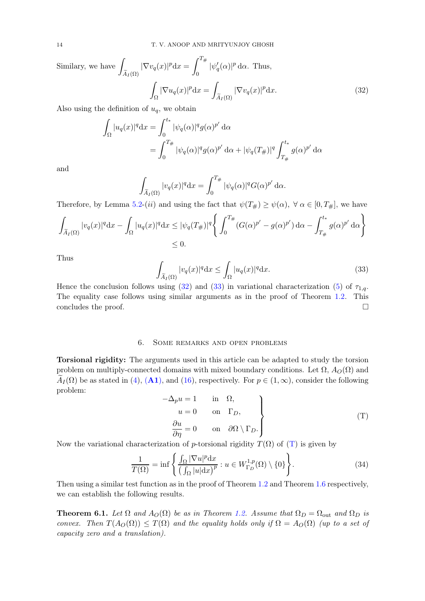Similarly, we have 
$$
\int_{\tilde{A}_I(\Omega)} |\nabla v_q(x)|^p dx = \int_0^{T_{\#}} |\psi'_q(\alpha)|^p d\alpha.
$$
 Thus,
$$
\int_{\Omega} |\nabla u_q(x)|^p dx = \int_{\tilde{A}_I(\Omega)} |\nabla v_q(x)|^p dx.
$$
 (32)

Also using the definition of  $u_q$ , we obtain

<span id="page-13-1"></span>
$$
\int_{\Omega} |u_q(x)|^q dx = \int_0^{t_*} |\psi_q(\alpha)|^q g(\alpha)^{p'} d\alpha
$$
  
= 
$$
\int_0^{T_{\#}} |\psi_q(\alpha)|^q g(\alpha)^{p'} d\alpha + |\psi_q(T_{\#})|^q \int_{T_{\#}}^{t_*} g(\alpha)^{p'} d\alpha
$$

and

$$
\int_{\widetilde{A}_I(\Omega)} |v_q(x)|^q \mathrm{d}x = \int_0^{T_{\#}} |\psi_q(\alpha)|^q G(\alpha)^{p'} \mathrm{d}\alpha.
$$

Therefore, by Lemma [5.2-](#page-12-0)(*ii*) and using the fact that  $\psi(T_{\#}) \geq \psi(\alpha)$ ,  $\forall \alpha \in [0, T_{\#}]$ , we have

$$
\int_{\widetilde{A}_I(\Omega)} |v_q(x)|^q dx - \int_{\Omega} |u_q(x)|^q dx \le |\psi_q(T_{\#})|^q \left\{ \int_0^{T_{\#}} (G(\alpha)^{p'} - g(\alpha)^{p'}) d\alpha - \int_{T_{\#}}^{t_*} g(\alpha)^{p'} d\alpha \right\}
$$
  
 $\le 0.$ 

Thus

<span id="page-13-2"></span>
$$
\int_{\widetilde{A}_I(\Omega)} |v_q(x)|^q \mathrm{d}x \le \int_{\Omega} |u_q(x)|^q \mathrm{d}x. \tag{33}
$$

Hence the conclusion follows using [\(32\)](#page-13-1) and [\(33\)](#page-13-2) in variational characterization [\(5\)](#page-1-3) of  $\tau_{1,q}$ . The equality case follows using similar arguments as in the proof of Theorem [1.2.](#page-3-4) This concludes the proof.  $\Box$ 

## 6. Some remarks and open problems

<span id="page-13-0"></span>Torsional rigidity: The arguments used in this article can be adapted to study the torsion problem on multiply-connected domains with mixed boundary conditions. Let  $\Omega$ ,  $A_O(\Omega)$  and  $A_I(\Omega)$  be as stated in [\(4\)](#page-1-2), ([A1](#page-2-4)), and [\(16\)](#page-4-1), respectively. For  $p \in (1,\infty)$ , consider the following problem:

<span id="page-13-3"></span>
$$
-\Delta_p u = 1 \quad \text{in} \quad \Omega,
$$
  
\n
$$
u = 0 \quad \text{on} \quad \Gamma_D,
$$
  
\n
$$
\frac{\partial u}{\partial \eta} = 0 \quad \text{on} \quad \partial \Omega \setminus \Gamma_D.
$$
  
\n
$$
(T)
$$

Now the variational characterization of p-torsional rigidity  $T(\Omega)$  of  $(T)$  is given by

$$
\frac{1}{T(\Omega)} = \inf \left\{ \frac{\int_{\Omega} |\nabla u|^p dx}{\left(\int_{\Omega} |u| dx\right)^p} : u \in W_{\Gamma_D}^{1,p}(\Omega) \setminus \{0\} \right\}.
$$
\n(34)

Then using a similar test function as in the proof of Theorem [1.2](#page-3-4) and Theorem [1.6](#page-4-2) respectively, we can establish the following results.

**Theorem 6.1.** Let  $\Omega$  and  $A_O(\Omega)$  be as in Theorem [1.2.](#page-3-4) Assume that  $\Omega_D = \Omega_{\text{out}}$  and  $\Omega_D$  is *convex. Then*  $T(A_O(\Omega)) \leq T(\Omega)$  *and the equality holds only if*  $\Omega = A_O(\Omega)$  *(up to a set of capacity zero and a translation).*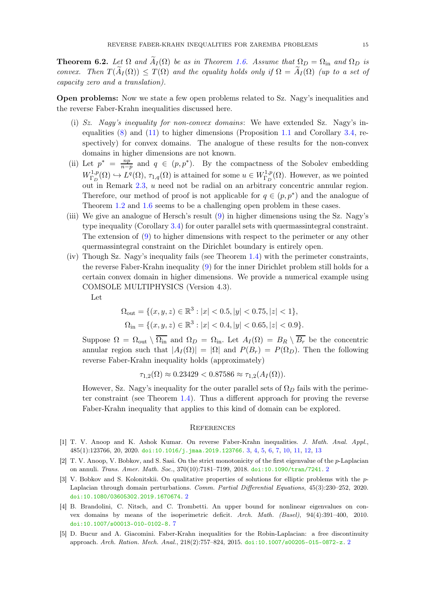**Theorem 6.2.** Let  $\Omega$  and  $\widetilde{A}_I(\Omega)$  be as in Theorem [1.6.](#page-4-2) Assume that  $\Omega_D = \Omega_{\text{in}}$  and  $\Omega_D$  is *convex.* Then  $T(\widetilde{A}_I(\Omega)) \leq T(\Omega)$  and the equality holds only if  $\Omega = \widetilde{A}_I(\Omega)$  (up to a set of *capacity zero and a translation).*

Open problems: Now we state a few open problems related to Sz. Nagy's inequalities and the reverse Faber-Krahn inequalities discussed here.

- (i) *Sz. Nagy's inequality for non-convex domains*: We have extended Sz. Nagy's inequalities [\(8\)](#page-2-1) and [\(11\)](#page-3-1) to higher dimensions (Proposition [1.1](#page-2-3) and Corollary [3.4,](#page-8-1) respectively) for convex domains. The analogue of these results for the non-convex domains in higher dimensions are not known.
- (ii) Let  $p^* = \frac{np}{n-p}$  $\frac{np}{n-p}$  and  $q \in (p, p^*)$ . By the compactness of the Sobolev embedding  $W^{1,p}_{\Gamma_p}$  $L^{1,p}(\Omega) \hookrightarrow L^q(\Omega)$ ,  $\tau_{1,q}(\Omega)$  is attained for some  $u \in W^{1,p}_{\Gamma_D}$  $\Gamma_D^{1,p}(\Omega)$ . However, as we pointed out in Remark [2.3,](#page-6-5) u need not be radial on an arbitrary concentric annular region. Therefore, our method of proof is not applicable for  $q \in (p, p^*)$  and the analogue of Theorem [1.2](#page-3-4) and [1.6](#page-4-2) seems to be a challenging open problem in these cases.
- (iii) We give an analogue of Hersch's result [\(9\)](#page-3-0) in higher dimensions using the Sz. Nagy's type inequality (Corollary [3.4\)](#page-8-1) for outer parallel sets with quermassintegral constraint. The extension of [\(9\)](#page-3-0) to higher dimensions with respect to the perimeter or any other quermassintegral constraint on the Dirichlet boundary is entirely open.
- (iv) Though Sz. Nagy's inequality fails (see Theorem [1.4\)](#page-3-5) with the perimeter constraints, the reverse Faber-Krahn inequality [\(9\)](#page-3-0) for the inner Dirichlet problem still holds for a certain convex domain in higher dimensions. We provide a numerical example using COMSOLE MULTIPHYSICS (Version 4.3).

Let

$$
\Omega_{\text{out}} = \{ (x, y, z) \in \mathbb{R}^3 : |x| < 0.5, |y| < 0.75, |z| < 1 \},
$$
\n
$$
\Omega_{\text{in}} = \{ (x, y, z) \in \mathbb{R}^3 : |x| < 0.4, |y| < 0.65, |z| < 0.9 \}.
$$

Suppose  $\Omega = \Omega_{\text{out}} \setminus \overline{\Omega_{\text{in}}}$  and  $\Omega_D = \Omega_{\text{in}}$ . Let  $A_I(\Omega) = B_R \setminus \overline{B_r}$  be the concentric annular region such that  $|A_I(\Omega)| = |\Omega|$  and  $P(B_r) = P(\Omega_D)$ . Then the following reverse Faber-Krahn inequality holds (approximately)

$$
\tau_{1,2}(\Omega) \approx 0.23429 < 0.87586 \approx \tau_{1,2}(A_I(\Omega)).
$$

However, Sz. Nagy's inequality for the outer parallel sets of  $\Omega_D$  fails with the perimeter constraint (see Theorem [1.4\)](#page-3-5). Thus a different approach for proving the reverse Faber-Krahn inequality that applies to this kind of domain can be explored.

### **REFERENCES**

- <span id="page-14-3"></span>[1] T. V. Anoop and K. Ashok Kumar. On reverse Faber-Krahn inequalities. J. Math. Anal. Appl., 485(1):123766, 20, 2020. [doi:10.1016/j.jmaa.2019.123766](https://doi.org/10.1016/j.jmaa.2019.123766). [3,](#page-2-6) [4,](#page-3-6) [5,](#page-4-4) [6,](#page-5-4) [7,](#page-6-6) [10,](#page-9-3) [11,](#page-10-0) [12,](#page-11-7) [13](#page-12-1)
- <span id="page-14-2"></span>[2] T. V. Anoop, V. Bobkov, and S. Sasi. On the strict monotonicity of the first eigenvalue of the p-Laplacian on annuli. Trans. Amer. Math. Soc., 370(10):7181–7199, 2018. [doi:10.1090/tran/7241](https://doi.org/10.1090/tran/7241). [2](#page-1-4)
- <span id="page-14-1"></span>[3] V. Bobkov and S. Kolonitskii. On qualitative properties of solutions for elliptic problems with the p-Laplacian through domain perturbations. Comm. Partial Differential Equations, 45(3):230–252, 2020. [doi:10.1080/03605302.2019.1670674](https://doi.org/10.1080/03605302.2019.1670674). [2](#page-1-4)
- <span id="page-14-4"></span>[4] B. Brandolini, C. Nitsch, and C. Trombetti. An upper bound for nonlinear eigenvalues on convex domains by means of the isoperimetric deficit. Arch. Math. (Basel), 94(4):391–400, 2010. [doi:10.1007/s00013-010-0102-8](https://doi.org/10.1007/s00013-010-0102-8). [7](#page-6-6)
- <span id="page-14-0"></span>[5] D. Bucur and A. Giacomini. Faber-Krahn inequalities for the Robin-Laplacian: a free discontinuity approach. Arch. Ration. Mech. Anal., 218(2):757–824, 2015. [doi:10.1007/s00205-015-0872-z](https://doi.org/10.1007/s00205-015-0872-z). [2](#page-1-4)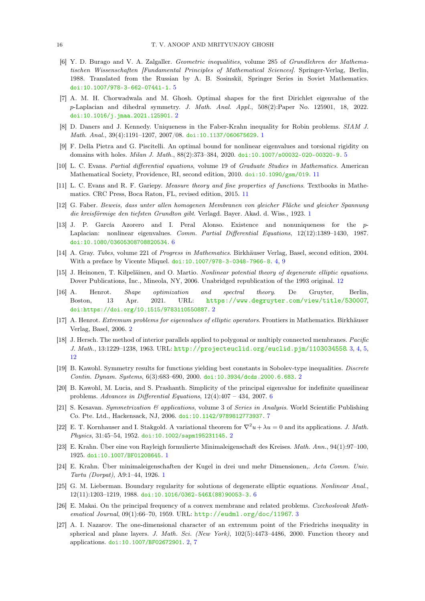- <span id="page-15-13"></span>[6] Y. D. Burago and V. A. Zalgaller. Geometric inequalities, volume 285 of Grundlehren der Mathematischen Wissenschaften [Fundamental Principles of Mathematical Sciences]. Springer-Verlag, Berlin, 1988. Translated from the Russian by A. B. Sosinskiï, Springer Series in Soviet Mathematics. [doi:10.1007/978-3-662-07441-1](https://doi.org/10.1007/978-3-662-07441-1). [5](#page-4-4)
- <span id="page-15-6"></span>[7] A. M. H. Chorwadwala and M. Ghosh. Optimal shapes for the first Dirichlet eigenvalue of the p-Laplacian and dihedral symmetry. J. Math. Anal. Appl., 508(2):Paper No. 125901, 18, 2022. [doi:10.1016/j.jmaa.2021.125901](https://doi.org/10.1016/j.jmaa.2021.125901). [2](#page-1-4)
- <span id="page-15-14"></span><span id="page-15-3"></span>[8] D. Daners and J. Kennedy. Uniqueness in the Faber-Krahn inequality for Robin problems. SIAM J. Math. Anal., 39(4):1191–1207, 2007/08. [doi:10.1137/060675629](https://doi.org/10.1137/060675629). [1](#page-0-0)
- [9] F. Della Pietra and G. Piscitelli. An optimal bound for nonlinear eigenvalues and torsional rigidity on domains with holes. *Milan J. Math.*, 88(2):373-384, 2020. [doi:10.1007/s00032-020-00320-9](https://doi.org/10.1007/s00032-020-00320-9). [5](#page-4-4)
- <span id="page-15-20"></span><span id="page-15-19"></span>[10] L. C. Evans. Partial differential equations, volume 19 of Graduate Studies in Mathematics. American Mathematical Society, Providence, RI, second edition, 2010. [doi:10.1090/gsm/019](https://doi.org/10.1090/gsm/019). [11](#page-10-0)
- [11] L. C. Evans and R. F. Gariepy. *Measure theory and fine properties of functions*. Textbooks in Mathematics. CRC Press, Boca Raton, FL, revised edition, 2015. [11](#page-10-0)
- <span id="page-15-0"></span>[12] G. Faber. Beweis, dass unter allen homogenen Membranen von gleicher Fläche und gleicher Spannung die kreisförmige den tiefsten Grundton gibt. Verlagd. Bayer. Akad. d. Wiss., 1923. [1](#page-0-0)
- <span id="page-15-15"></span>[13] J. P. García Azorero and I. Peral Alonso. Existence and nonuniqueness for the p-Laplacian: nonlinear eigenvalues. Comm. Partial Differential Equations, 12(12):1389–1430, 1987. [doi:10.1080/03605308708820534](https://doi.org/10.1080/03605308708820534). [6](#page-5-4)
- <span id="page-15-12"></span>[14] A. Gray. Tubes, volume 221 of Progress in Mathematics. Birkhäuser Verlag, Basel, second edition, 2004. With a preface by Vicente Miquel. [doi:10.1007/978-3-0348-7966-8](https://doi.org/10.1007/978-3-0348-7966-8). [4,](#page-3-6) [9](#page-8-4)
- <span id="page-15-21"></span>[15] J. Heinonen, T. Kilpeläinen, and O. Martio. Nonlinear potential theory of degenerate elliptic equations. Dover Publications, Inc., Mineola, NY, 2006. Unabridged republication of the 1993 original. [12](#page-11-7)
- <span id="page-15-9"></span>[16] A. Henrot. Shape optimization and spectral theory. De Gruyter, Berlin, Boston, 13 Apr. 2021. URL: <https://www.degruyter.com/view/title/530007>, [doi:https://doi.org/10.1515/9783110550887](https://doi.org/https://doi.org/10.1515/9783110550887). [2](#page-1-4)
- <span id="page-15-11"></span><span id="page-15-5"></span>[17] A. Henrot. Extremum problems for eigenvalues of elliptic operators. Frontiers in Mathematics. Birkhäuser Verlag, Basel, 2006. [2](#page-1-4)
- [18] J. Hersch. The method of interior parallels applied to polygonal or multiply connected membranes. Pacific J. Math., 13:1229–1238, 1963. URL: <http://projecteuclid.org/euclid.pjm/1103034558>. [3,](#page-2-6) [4,](#page-3-6) [5,](#page-4-4) [12](#page-11-7)
- <span id="page-15-7"></span>[19] B. Kawohl. Symmetry results for functions yielding best constants in Sobolev-type inequalities. Discrete Contin. Dynam. Systems, 6(3):683–690, 2000. [doi:10.3934/dcds.2000.6.683](https://doi.org/10.3934/dcds.2000.6.683). [2](#page-1-4)
- <span id="page-15-16"></span>[20] B. Kawohl, M. Lucia, and S. Prashanth. Simplicity of the principal eigenvalue for indefinite quasilinear problems. Advances in Differential Equations,  $12(4):407 - 434$ , 2007. [6](#page-5-4)
- <span id="page-15-18"></span>[21] S. Kesavan. Symmetrization & applications, volume 3 of Series in Analysis. World Scientific Publishing Co. Pte. Ltd., Hackensack, NJ, 2006. [doi:10.1142/9789812773937](https://doi.org/10.1142/9789812773937). [7](#page-6-6)
- <span id="page-15-4"></span>[22] E. T. Kornhauser and I. Stakgold. A variational theorem for  $\nabla^2 u + \lambda u = 0$  and its applications. J. Math. Physics, 31:45–54, 1952. [doi:10.1002/sapm195231145](https://doi.org/10.1002/sapm195231145). [2](#page-1-4)
- <span id="page-15-2"></span><span id="page-15-1"></span>[23] E. Krahn. Über eine von Rayleigh formulierte Minimaleigenschaft des Kreises. Math. Ann., 94(1):97–100, 1925. [doi:10.1007/BF01208645](https://doi.org/10.1007/BF01208645). [1](#page-0-0)
- [24] E. Krahn. Über minimaleigenschaften der Kugel in drei und mehr Dimensionen,. Acta Comm. Univ. Tartu (Dorpat), A9:1–44, 1926. [1](#page-0-0)
- <span id="page-15-17"></span>[25] G. M. Lieberman. Boundary regularity for solutions of degenerate elliptic equations. Nonlinear Anal., 12(11):1203–1219, 1988. [doi:10.1016/0362-546X\(88\)90053-3](https://doi.org/10.1016/0362-546X(88)90053-3). [6](#page-5-4)
- <span id="page-15-10"></span>[26] E. Makai. On the principal frequency of a convex membrane and related problems. Czechoslovak Mathematical Journal, 09(1):66–70, 1959. URL: <http://eudml.org/doc/11967>. [3](#page-2-6)
- <span id="page-15-8"></span>[27] A. I. Nazarov. The one-dimensional character of an extremum point of the Friedrichs inequality in spherical and plane layers. J. Math. Sci. (New York), 102(5):4473-4486, 2000. Function theory and applications. [doi:10.1007/BF02672901](https://doi.org/10.1007/BF02672901). [2,](#page-1-4) [7](#page-6-6)